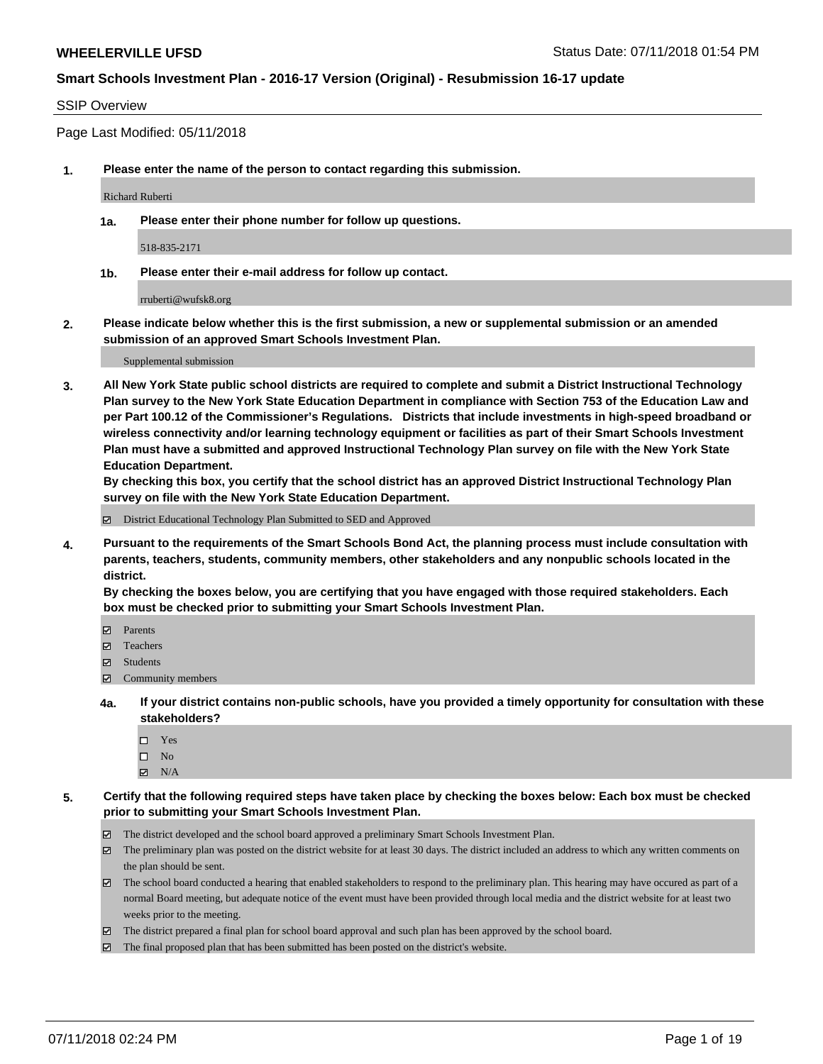### SSIP Overview

Page Last Modified: 05/11/2018

**1. Please enter the name of the person to contact regarding this submission.**

Richard Ruberti

**1a. Please enter their phone number for follow up questions.**

518-835-2171

**1b. Please enter their e-mail address for follow up contact.**

rruberti@wufsk8.org

**2. Please indicate below whether this is the first submission, a new or supplemental submission or an amended submission of an approved Smart Schools Investment Plan.**

Supplemental submission

**3. All New York State public school districts are required to complete and submit a District Instructional Technology Plan survey to the New York State Education Department in compliance with Section 753 of the Education Law and per Part 100.12 of the Commissioner's Regulations. Districts that include investments in high-speed broadband or wireless connectivity and/or learning technology equipment or facilities as part of their Smart Schools Investment Plan must have a submitted and approved Instructional Technology Plan survey on file with the New York State Education Department.** 

**By checking this box, you certify that the school district has an approved District Instructional Technology Plan survey on file with the New York State Education Department.**

District Educational Technology Plan Submitted to SED and Approved

**4. Pursuant to the requirements of the Smart Schools Bond Act, the planning process must include consultation with parents, teachers, students, community members, other stakeholders and any nonpublic schools located in the district.** 

**By checking the boxes below, you are certifying that you have engaged with those required stakeholders. Each box must be checked prior to submitting your Smart Schools Investment Plan.**

- Parents
- Teachers
- Students
- $\Xi$  Community members
- **4a. If your district contains non-public schools, have you provided a timely opportunity for consultation with these stakeholders?**
	- Yes
	- $\square$  No
	- $N/A$
- **5. Certify that the following required steps have taken place by checking the boxes below: Each box must be checked prior to submitting your Smart Schools Investment Plan.**
	- The district developed and the school board approved a preliminary Smart Schools Investment Plan.
	- $\boxtimes$  The preliminary plan was posted on the district website for at least 30 days. The district included an address to which any written comments on the plan should be sent.
	- $\boxtimes$  The school board conducted a hearing that enabled stakeholders to respond to the preliminary plan. This hearing may have occured as part of a normal Board meeting, but adequate notice of the event must have been provided through local media and the district website for at least two weeks prior to the meeting.
	- The district prepared a final plan for school board approval and such plan has been approved by the school board.
	- $\boxtimes$  The final proposed plan that has been submitted has been posted on the district's website.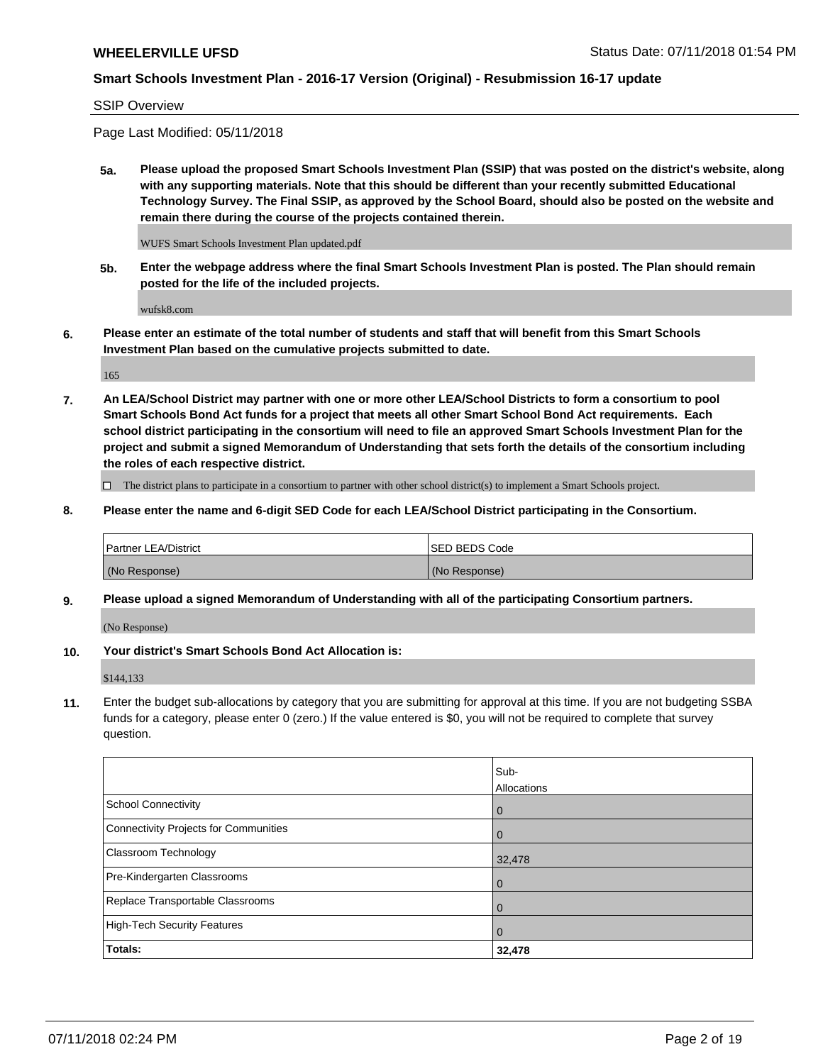## SSIP Overview

Page Last Modified: 05/11/2018

**5a. Please upload the proposed Smart Schools Investment Plan (SSIP) that was posted on the district's website, along with any supporting materials. Note that this should be different than your recently submitted Educational Technology Survey. The Final SSIP, as approved by the School Board, should also be posted on the website and remain there during the course of the projects contained therein.**

WUFS Smart Schools Investment Plan updated.pdf

**5b. Enter the webpage address where the final Smart Schools Investment Plan is posted. The Plan should remain posted for the life of the included projects.**

wufsk8.com

**6. Please enter an estimate of the total number of students and staff that will benefit from this Smart Schools Investment Plan based on the cumulative projects submitted to date.**

165

**7. An LEA/School District may partner with one or more other LEA/School Districts to form a consortium to pool Smart Schools Bond Act funds for a project that meets all other Smart School Bond Act requirements. Each school district participating in the consortium will need to file an approved Smart Schools Investment Plan for the project and submit a signed Memorandum of Understanding that sets forth the details of the consortium including the roles of each respective district.**

 $\Box$  The district plans to participate in a consortium to partner with other school district(s) to implement a Smart Schools project.

**8. Please enter the name and 6-digit SED Code for each LEA/School District participating in the Consortium.**

| <b>Partner LEA/District</b> | <b>ISED BEDS Code</b> |
|-----------------------------|-----------------------|
| (No Response)               | (No Response)         |

#### **9. Please upload a signed Memorandum of Understanding with all of the participating Consortium partners.**

(No Response)

**10. Your district's Smart Schools Bond Act Allocation is:**

\$144,133

**11.** Enter the budget sub-allocations by category that you are submitting for approval at this time. If you are not budgeting SSBA funds for a category, please enter 0 (zero.) If the value entered is \$0, you will not be required to complete that survey question.

|                                              | Sub-<br>Allocations |
|----------------------------------------------|---------------------|
| <b>School Connectivity</b>                   | $\mathbf 0$         |
| <b>Connectivity Projects for Communities</b> | $\overline{0}$      |
| Classroom Technology                         | 32,478              |
| Pre-Kindergarten Classrooms                  | $\Omega$            |
| Replace Transportable Classrooms             | 0                   |
| <b>High-Tech Security Features</b>           | $\overline{0}$      |
| Totals:                                      | 32,478              |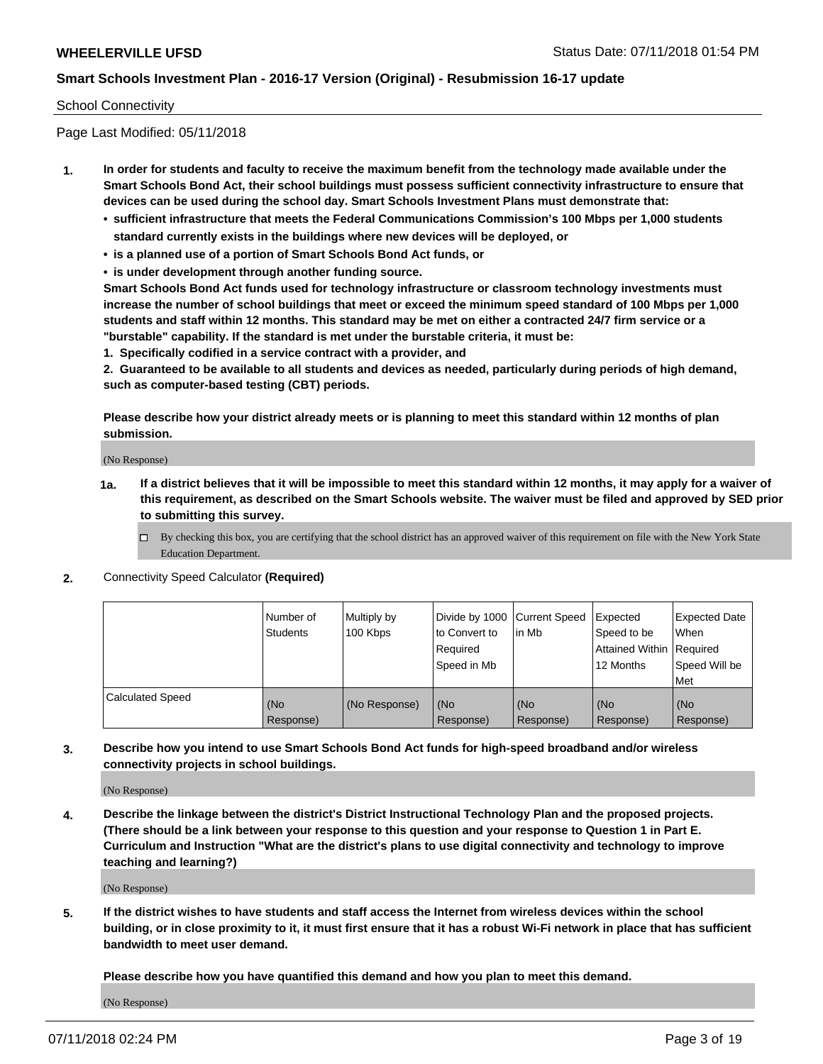#### School Connectivity

Page Last Modified: 05/11/2018

- **1. In order for students and faculty to receive the maximum benefit from the technology made available under the Smart Schools Bond Act, their school buildings must possess sufficient connectivity infrastructure to ensure that devices can be used during the school day. Smart Schools Investment Plans must demonstrate that:**
	- **• sufficient infrastructure that meets the Federal Communications Commission's 100 Mbps per 1,000 students standard currently exists in the buildings where new devices will be deployed, or**
	- **• is a planned use of a portion of Smart Schools Bond Act funds, or**
	- **• is under development through another funding source.**

**Smart Schools Bond Act funds used for technology infrastructure or classroom technology investments must increase the number of school buildings that meet or exceed the minimum speed standard of 100 Mbps per 1,000 students and staff within 12 months. This standard may be met on either a contracted 24/7 firm service or a "burstable" capability. If the standard is met under the burstable criteria, it must be:**

**1. Specifically codified in a service contract with a provider, and**

**2. Guaranteed to be available to all students and devices as needed, particularly during periods of high demand, such as computer-based testing (CBT) periods.**

**Please describe how your district already meets or is planning to meet this standard within 12 months of plan submission.**

(No Response)

- **1a. If a district believes that it will be impossible to meet this standard within 12 months, it may apply for a waiver of this requirement, as described on the Smart Schools website. The waiver must be filed and approved by SED prior to submitting this survey.**
	- By checking this box, you are certifying that the school district has an approved waiver of this requirement on file with the New York State Education Department.
- **2.** Connectivity Speed Calculator **(Required)**

|                         | l Number of<br><b>Students</b> | Multiply by<br>100 Kbps | Divide by 1000 Current Speed<br>to Convert to<br>Reauired<br>Speed in Mb | lin Mb           | Expected<br>Speed to be<br><b>Attained Within Required</b><br>12 Months | Expected Date<br><b>When</b><br>Speed Will be<br>l Met |
|-------------------------|--------------------------------|-------------------------|--------------------------------------------------------------------------|------------------|-------------------------------------------------------------------------|--------------------------------------------------------|
| <b>Calculated Speed</b> | (No<br>Response)               | (No Response)           | (No<br>Response)                                                         | (No<br>Response) | (No<br>Response)                                                        | l (No<br>Response)                                     |

**3. Describe how you intend to use Smart Schools Bond Act funds for high-speed broadband and/or wireless connectivity projects in school buildings.**

(No Response)

**4. Describe the linkage between the district's District Instructional Technology Plan and the proposed projects. (There should be a link between your response to this question and your response to Question 1 in Part E. Curriculum and Instruction "What are the district's plans to use digital connectivity and technology to improve teaching and learning?)**

(No Response)

**5. If the district wishes to have students and staff access the Internet from wireless devices within the school building, or in close proximity to it, it must first ensure that it has a robust Wi-Fi network in place that has sufficient bandwidth to meet user demand.**

**Please describe how you have quantified this demand and how you plan to meet this demand.**

(No Response)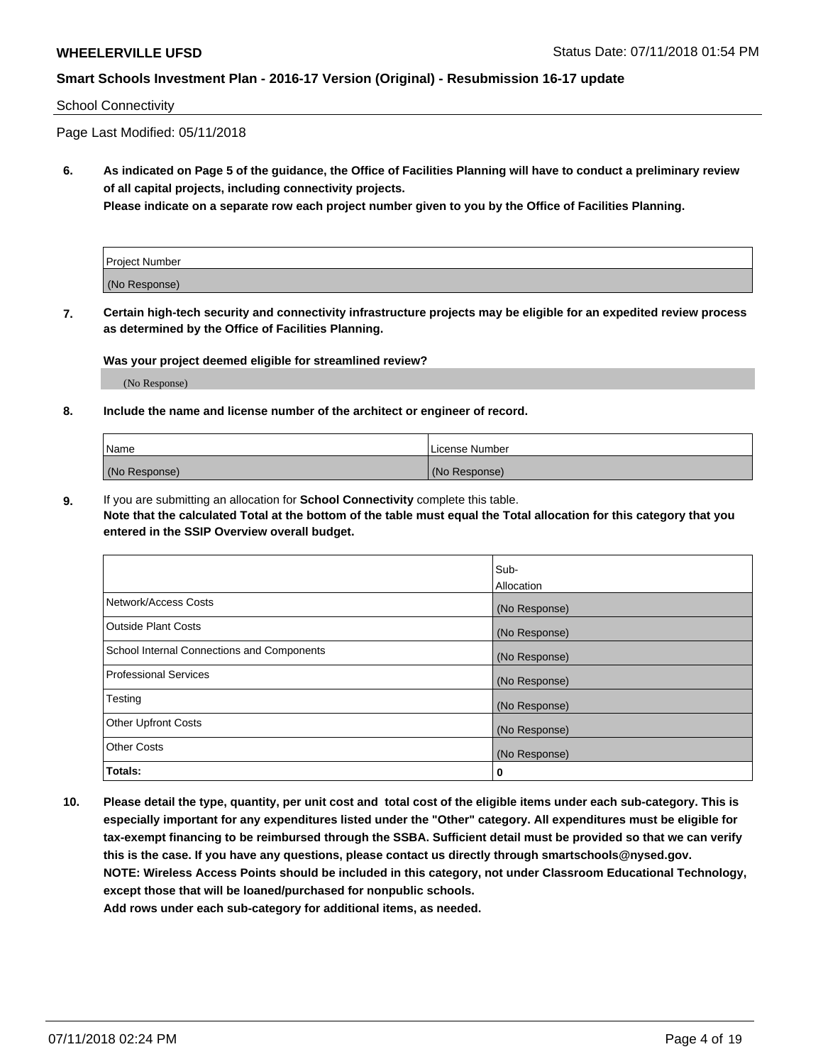#### School Connectivity

Page Last Modified: 05/11/2018

**6. As indicated on Page 5 of the guidance, the Office of Facilities Planning will have to conduct a preliminary review of all capital projects, including connectivity projects.**

**Please indicate on a separate row each project number given to you by the Office of Facilities Planning.**

| Project Number |  |
|----------------|--|
| (No Response)  |  |

**7. Certain high-tech security and connectivity infrastructure projects may be eligible for an expedited review process as determined by the Office of Facilities Planning.**

#### **Was your project deemed eligible for streamlined review?**

(No Response)

#### **8. Include the name and license number of the architect or engineer of record.**

| Name          | License Number |
|---------------|----------------|
| (No Response) | (No Response)  |

**9.** If you are submitting an allocation for **School Connectivity** complete this table.

**Note that the calculated Total at the bottom of the table must equal the Total allocation for this category that you entered in the SSIP Overview overall budget.** 

|                                            | Sub-          |
|--------------------------------------------|---------------|
|                                            | Allocation    |
| Network/Access Costs                       | (No Response) |
| <b>Outside Plant Costs</b>                 | (No Response) |
| School Internal Connections and Components | (No Response) |
| Professional Services                      | (No Response) |
| Testing                                    | (No Response) |
| <b>Other Upfront Costs</b>                 | (No Response) |
| <b>Other Costs</b>                         | (No Response) |
| Totals:                                    | 0             |

**10. Please detail the type, quantity, per unit cost and total cost of the eligible items under each sub-category. This is especially important for any expenditures listed under the "Other" category. All expenditures must be eligible for tax-exempt financing to be reimbursed through the SSBA. Sufficient detail must be provided so that we can verify this is the case. If you have any questions, please contact us directly through smartschools@nysed.gov. NOTE: Wireless Access Points should be included in this category, not under Classroom Educational Technology, except those that will be loaned/purchased for nonpublic schools.**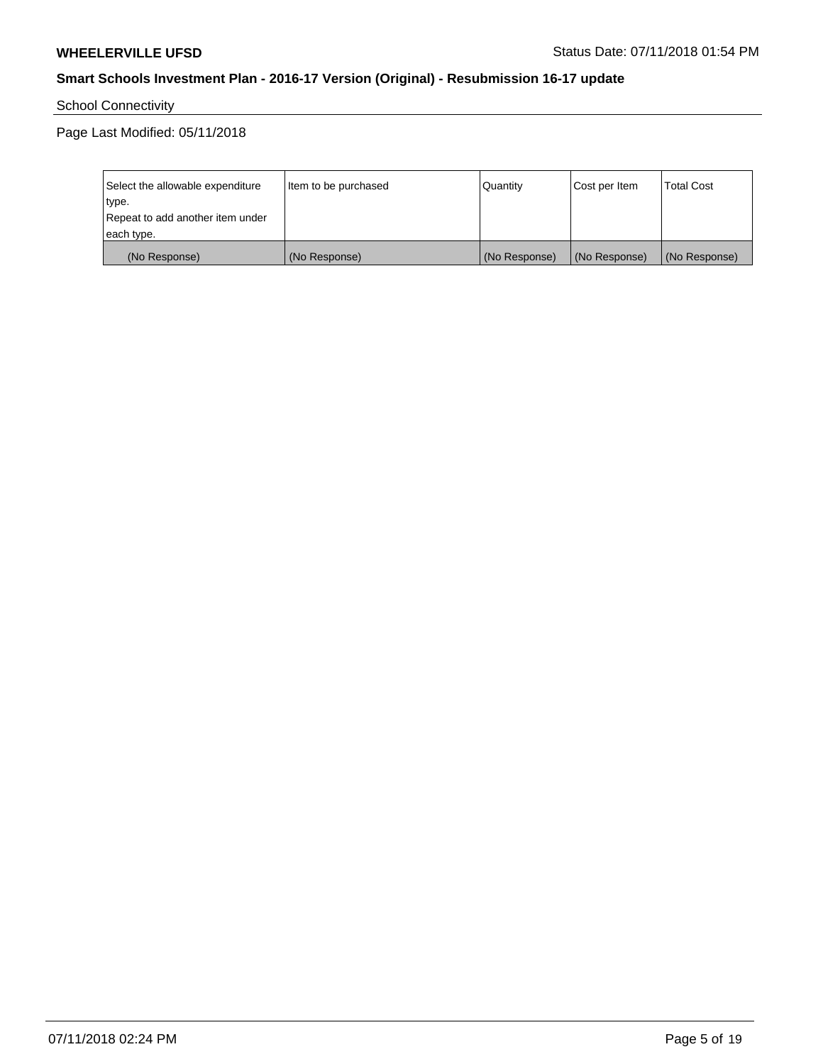School Connectivity

Page Last Modified: 05/11/2018

| Select the allowable expenditure | Item to be purchased | Quantity      | Cost per Item | <b>Total Cost</b> |
|----------------------------------|----------------------|---------------|---------------|-------------------|
| type.                            |                      |               |               |                   |
| Repeat to add another item under |                      |               |               |                   |
| each type.                       |                      |               |               |                   |
| (No Response)                    | (No Response)        | (No Response) | (No Response) | (No Response)     |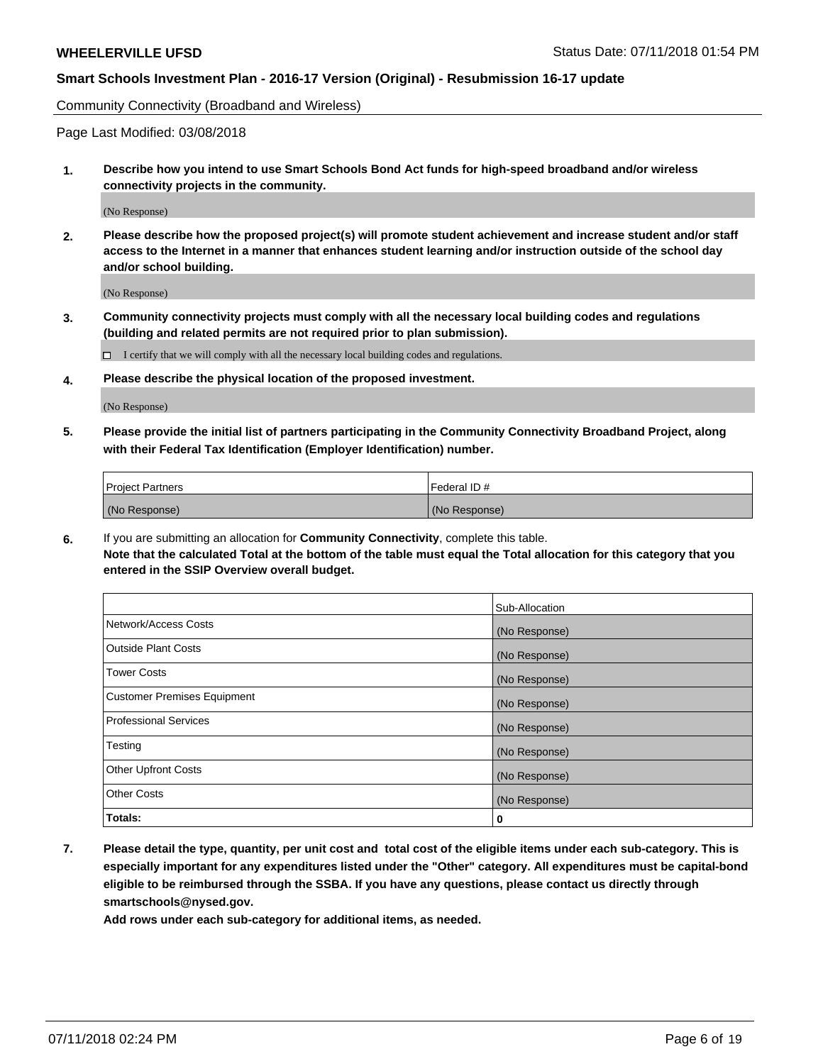Community Connectivity (Broadband and Wireless)

Page Last Modified: 03/08/2018

**1. Describe how you intend to use Smart Schools Bond Act funds for high-speed broadband and/or wireless connectivity projects in the community.**

(No Response)

**2. Please describe how the proposed project(s) will promote student achievement and increase student and/or staff access to the Internet in a manner that enhances student learning and/or instruction outside of the school day and/or school building.**

(No Response)

**3. Community connectivity projects must comply with all the necessary local building codes and regulations (building and related permits are not required prior to plan submission).**

 $\Box$  I certify that we will comply with all the necessary local building codes and regulations.

**4. Please describe the physical location of the proposed investment.**

(No Response)

**5. Please provide the initial list of partners participating in the Community Connectivity Broadband Project, along with their Federal Tax Identification (Employer Identification) number.**

| <b>Project Partners</b> | l Federal ID # |
|-------------------------|----------------|
| (No Response)           | (No Response)  |

**6.** If you are submitting an allocation for **Community Connectivity**, complete this table. **Note that the calculated Total at the bottom of the table must equal the Total allocation for this category that you entered in the SSIP Overview overall budget.**

|                                    | Sub-Allocation |
|------------------------------------|----------------|
| Network/Access Costs               | (No Response)  |
| Outside Plant Costs                | (No Response)  |
| <b>Tower Costs</b>                 | (No Response)  |
| <b>Customer Premises Equipment</b> | (No Response)  |
| Professional Services              | (No Response)  |
| Testing                            | (No Response)  |
| <b>Other Upfront Costs</b>         | (No Response)  |
| <b>Other Costs</b>                 | (No Response)  |
| Totals:                            | 0              |

**7. Please detail the type, quantity, per unit cost and total cost of the eligible items under each sub-category. This is especially important for any expenditures listed under the "Other" category. All expenditures must be capital-bond eligible to be reimbursed through the SSBA. If you have any questions, please contact us directly through smartschools@nysed.gov.**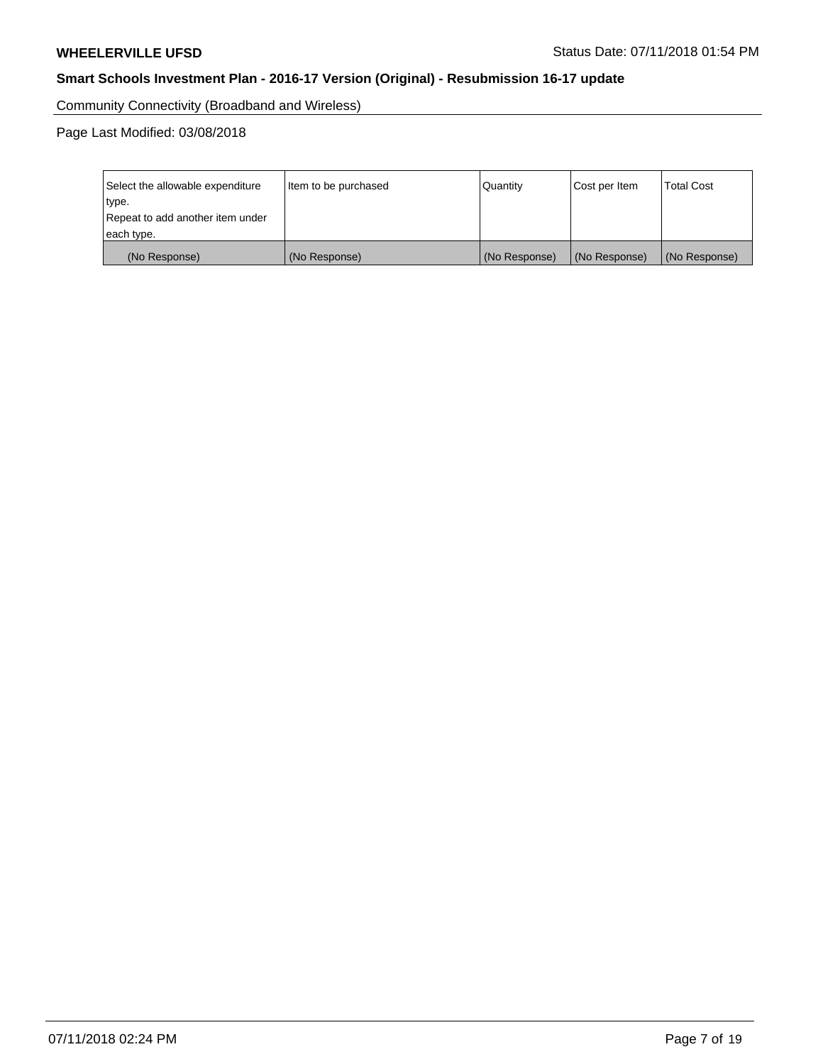Community Connectivity (Broadband and Wireless)

Page Last Modified: 03/08/2018

| Select the allowable expenditure<br>type.<br>Repeat to add another item under | Item to be purchased |               | Cost per Item | <b>Total Cost</b> |
|-------------------------------------------------------------------------------|----------------------|---------------|---------------|-------------------|
| each type.                                                                    |                      |               |               |                   |
| (No Response)                                                                 | (No Response)        | (No Response) | (No Response) | (No Response)     |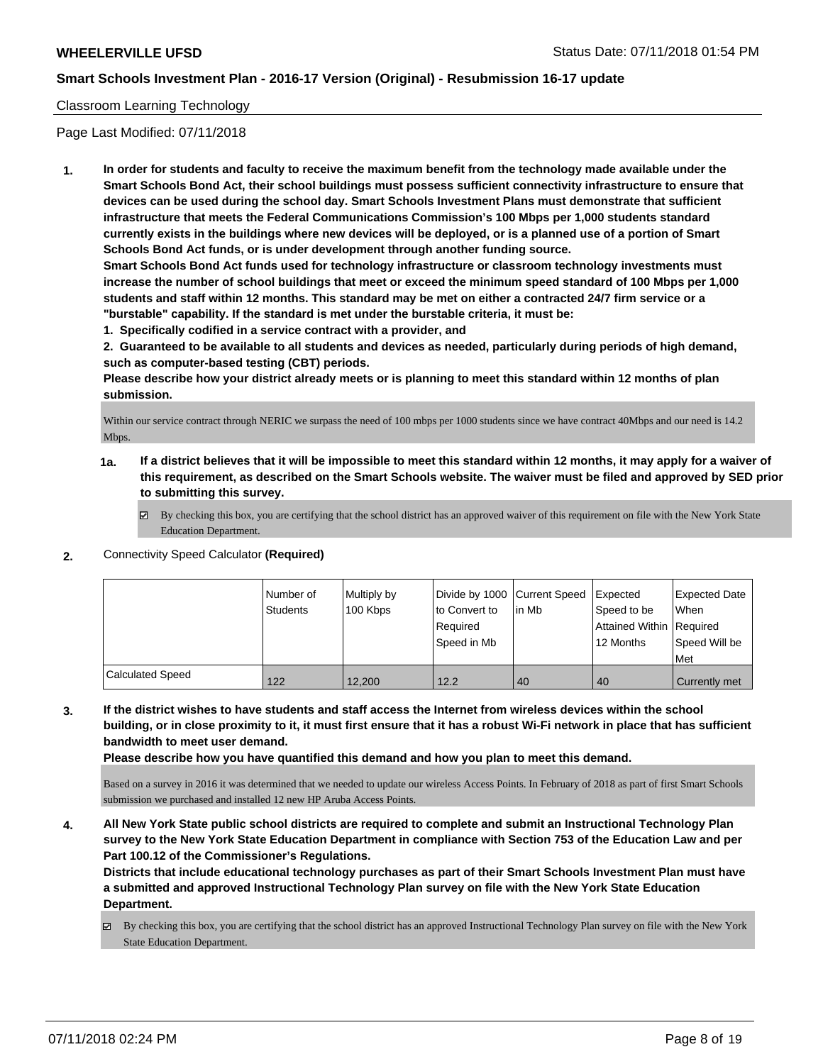## Classroom Learning Technology

Page Last Modified: 07/11/2018

**1. In order for students and faculty to receive the maximum benefit from the technology made available under the Smart Schools Bond Act, their school buildings must possess sufficient connectivity infrastructure to ensure that devices can be used during the school day. Smart Schools Investment Plans must demonstrate that sufficient infrastructure that meets the Federal Communications Commission's 100 Mbps per 1,000 students standard currently exists in the buildings where new devices will be deployed, or is a planned use of a portion of Smart Schools Bond Act funds, or is under development through another funding source.**

**Smart Schools Bond Act funds used for technology infrastructure or classroom technology investments must increase the number of school buildings that meet or exceed the minimum speed standard of 100 Mbps per 1,000 students and staff within 12 months. This standard may be met on either a contracted 24/7 firm service or a "burstable" capability. If the standard is met under the burstable criteria, it must be:**

**1. Specifically codified in a service contract with a provider, and**

**2. Guaranteed to be available to all students and devices as needed, particularly during periods of high demand, such as computer-based testing (CBT) periods.**

**Please describe how your district already meets or is planning to meet this standard within 12 months of plan submission.**

Within our service contract through NERIC we surpass the need of 100 mbps per 1000 students since we have contract 40Mbps and our need is 14.2 Mbps.

- **1a. If a district believes that it will be impossible to meet this standard within 12 months, it may apply for a waiver of this requirement, as described on the Smart Schools website. The waiver must be filed and approved by SED prior to submitting this survey.**
	- By checking this box, you are certifying that the school district has an approved waiver of this requirement on file with the New York State Education Department.
- **2.** Connectivity Speed Calculator **(Required)**

|                         | I Number of<br>Students | Multiply by<br>100 Kbps | Divide by 1000 Current Speed<br>to Convert to<br>Required<br>Speed in Mb | lin Mb | Expected<br>Speed to be<br>Attained Within Required<br>12 Months | Expected Date<br>When<br>Speed Will be<br>Met |
|-------------------------|-------------------------|-------------------------|--------------------------------------------------------------------------|--------|------------------------------------------------------------------|-----------------------------------------------|
| <b>Calculated Speed</b> | 122                     | 12.200                  | 12.2                                                                     | 40     | 40                                                               | Currently met                                 |

**3. If the district wishes to have students and staff access the Internet from wireless devices within the school building, or in close proximity to it, it must first ensure that it has a robust Wi-Fi network in place that has sufficient bandwidth to meet user demand.**

**Please describe how you have quantified this demand and how you plan to meet this demand.**

Based on a survey in 2016 it was determined that we needed to update our wireless Access Points. In February of 2018 as part of first Smart Schools submission we purchased and installed 12 new HP Aruba Access Points.

**4. All New York State public school districts are required to complete and submit an Instructional Technology Plan survey to the New York State Education Department in compliance with Section 753 of the Education Law and per Part 100.12 of the Commissioner's Regulations.**

**Districts that include educational technology purchases as part of their Smart Schools Investment Plan must have a submitted and approved Instructional Technology Plan survey on file with the New York State Education Department.**

 $\boxtimes$  By checking this box, you are certifying that the school district has an approved Instructional Technology Plan survey on file with the New York State Education Department.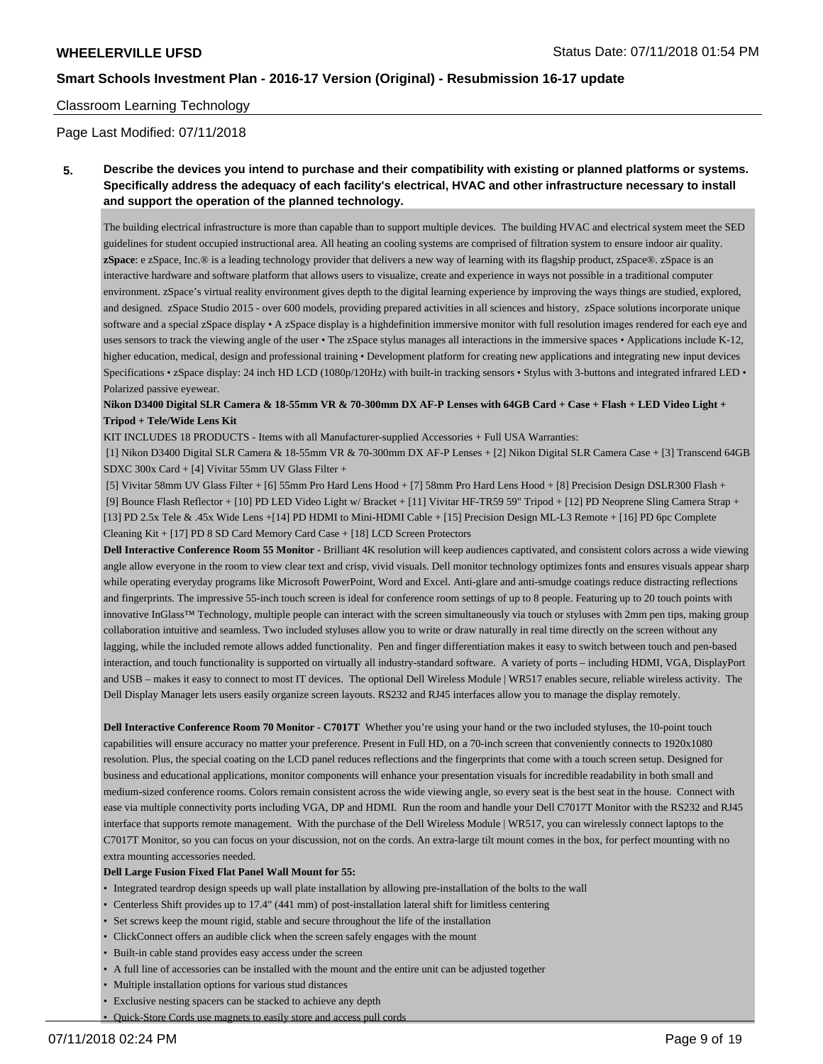#### Classroom Learning Technology

Page Last Modified: 07/11/2018

**5. Describe the devices you intend to purchase and their compatibility with existing or planned platforms or systems. Specifically address the adequacy of each facility's electrical, HVAC and other infrastructure necessary to install and support the operation of the planned technology.**

The building electrical infrastructure is more than capable than to support multiple devices. The building HVAC and electrical system meet the SED guidelines for student occupied instructional area. All heating an cooling systems are comprised of filtration system to ensure indoor air quality. **zSpace**: e zSpace, Inc.® is a leading technology provider that delivers a new way of learning with its flagship product, zSpace®. zSpace is an interactive hardware and software platform that allows users to visualize, create and experience in ways not possible in a traditional computer environment. zSpace's virtual reality environment gives depth to the digital learning experience by improving the ways things are studied, explored, and designed. zSpace Studio 2015 - over 600 models, providing prepared activities in all sciences and history, zSpace solutions incorporate unique software and a special zSpace display • A zSpace display is a highdefinition immersive monitor with full resolution images rendered for each eye and uses sensors to track the viewing angle of the user • The zSpace stylus manages all interactions in the immersive spaces • Applications include K-12, higher education, medical, design and professional training • Development platform for creating new applications and integrating new input devices Specifications • zSpace display: 24 inch HD LCD (1080p/120Hz) with built-in tracking sensors • Stylus with 3-buttons and integrated infrared LED • Polarized passive eyewear.

**Nikon D3400 Digital SLR Camera & 18-55mm VR & 70-300mm DX AF-P Lenses with 64GB Card + Case + Flash + LED Video Light + Tripod + Tele/Wide Lens Kit**

KIT INCLUDES 18 PRODUCTS - Items with all Manufacturer-supplied Accessories + Full USA Warranties:

 [1] Nikon D3400 Digital SLR Camera & 18-55mm VR & 70-300mm DX AF-P Lenses + [2] Nikon Digital SLR Camera Case + [3] Transcend 64GB SDXC 300x Card + [4] Vivitar 55mm UV Glass Filter +

 [5] Vivitar 58mm UV Glass Filter + [6] 55mm Pro Hard Lens Hood + [7] 58mm Pro Hard Lens Hood + [8] Precision Design DSLR300 Flash + [9] Bounce Flash Reflector + [10] PD LED Video Light w/ Bracket + [11] Vivitar HF-TR59 59" Tripod + [12] PD Neoprene Sling Camera Strap + [13] PD 2.5x Tele & .45x Wide Lens +[14] PD HDMI to Mini-HDMI Cable + [15] Precision Design ML-L3 Remote + [16] PD 6pc Complete Cleaning Kit + [17] PD 8 SD Card Memory Card Case + [18] LCD Screen Protectors

**Dell Interactive Conference Room 55 Monitor -** Brilliant 4K resolution will keep audiences captivated, and consistent colors across a wide viewing angle allow everyone in the room to view clear text and crisp, vivid visuals. Dell monitor technology optimizes fonts and ensures visuals appear sharp while operating everyday programs like Microsoft PowerPoint, Word and Excel. Anti-glare and anti-smudge coatings reduce distracting reflections and fingerprints. The impressive 55-inch touch screen is ideal for conference room settings of up to 8 people. Featuring up to 20 touch points with innovative InGlass™ Technology, multiple people can interact with the screen simultaneously via touch or styluses with 2mm pen tips, making group collaboration intuitive and seamless. Two included styluses allow you to write or draw naturally in real time directly on the screen without any lagging, while the included remote allows added functionality. Pen and finger differentiation makes it easy to switch between touch and pen-based interaction, and touch functionality is supported on virtually all industry-standard software. A variety of ports – including HDMI, VGA, DisplayPort and USB – makes it easy to connect to most IT devices. The optional Dell Wireless Module | WR517 enables secure, reliable wireless activity. The Dell Display Manager lets users easily organize screen layouts. RS232 and RJ45 interfaces allow you to manage the display remotely.

**Dell Interactive Conference Room 70 Monitor - C7017T** Whether you're using your hand or the two included styluses, the 10-point touch capabilities will ensure accuracy no matter your preference. Present in Full HD, on a 70-inch screen that conveniently connects to 1920x1080 resolution. Plus, the special coating on the LCD panel reduces reflections and the fingerprints that come with a touch screen setup. Designed for business and educational applications, monitor components will enhance your presentation visuals for incredible readability in both small and medium-sized conference rooms. Colors remain consistent across the wide viewing angle, so every seat is the best seat in the house. Connect with ease via multiple connectivity ports including VGA, DP and HDMI. Run the room and handle your Dell C7017T Monitor with the RS232 and RJ45 interface that supports remote management. With the purchase of the Dell Wireless Module | WR517, you can wirelessly connect laptops to the C7017T Monitor, so you can focus on your discussion, not on the cords. An extra-large tilt mount comes in the box, for perfect mounting with no extra mounting accessories needed.

#### **Dell Large Fusion Fixed Flat Panel Wall Mount for 55:**

- Integrated teardrop design speeds up wall plate installation by allowing pre-installation of the bolts to the wall
- Centerless Shift provides up to 17.4" (441 mm) of post-installation lateral shift for limitless centering
- Set screws keep the mount rigid, stable and secure throughout the life of the installation
- ClickConnect offers an audible click when the screen safely engages with the mount
- Built-in cable stand provides easy access under the screen
- A full line of accessories can be installed with the mount and the entire unit can be adjusted together
- Multiple installation options for various stud distances
- Exclusive nesting spacers can be stacked to achieve any depth
- Quick-Store Cords use magnets to easily store and access pull cords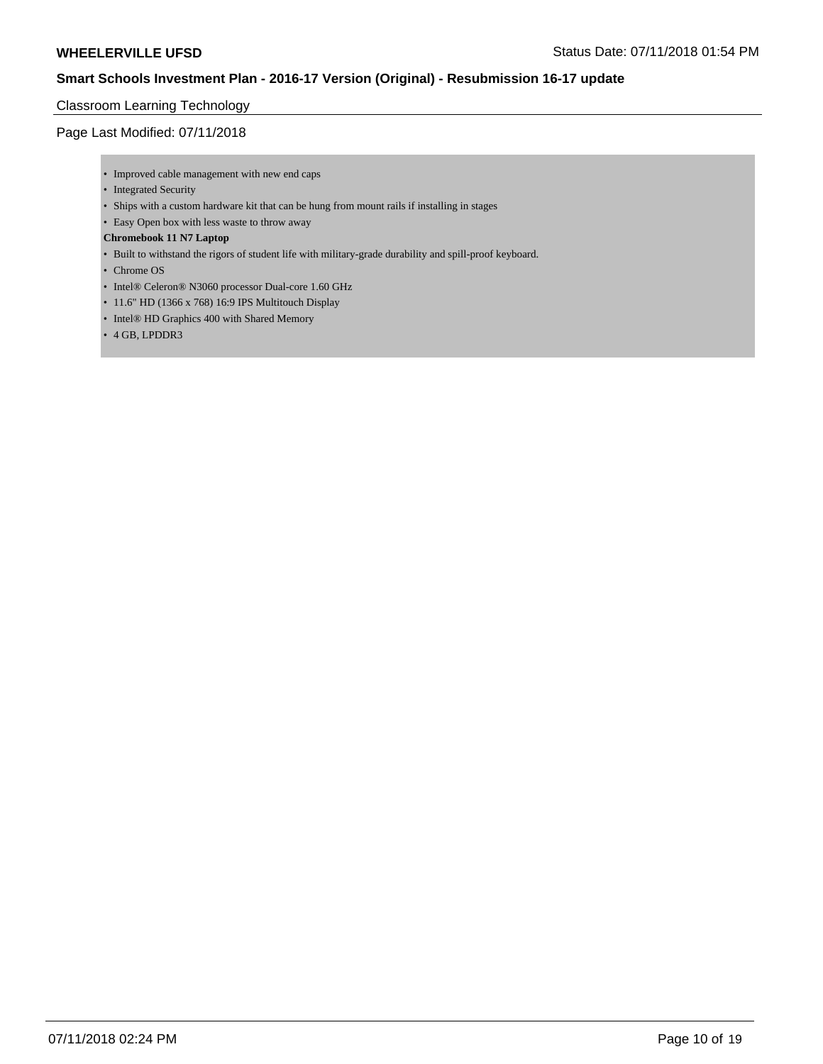## Classroom Learning Technology

Page Last Modified: 07/11/2018

- Improved cable management with new end caps
- Integrated Security
- Ships with a custom hardware kit that can be hung from mount rails if installing in stages
- Easy Open box with less waste to throw away

#### **Chromebook 11 N7 Laptop**

- Built to withstand the rigors of student life with military-grade durability and spill-proof keyboard.
- Chrome OS
- Intel® Celeron® N3060 processor Dual-core 1.60 GHz
- 11.6" HD (1366 x 768) 16:9 IPS Multitouch Display
- Intel® HD Graphics 400 with Shared Memory
- 4 GB, LPDDR3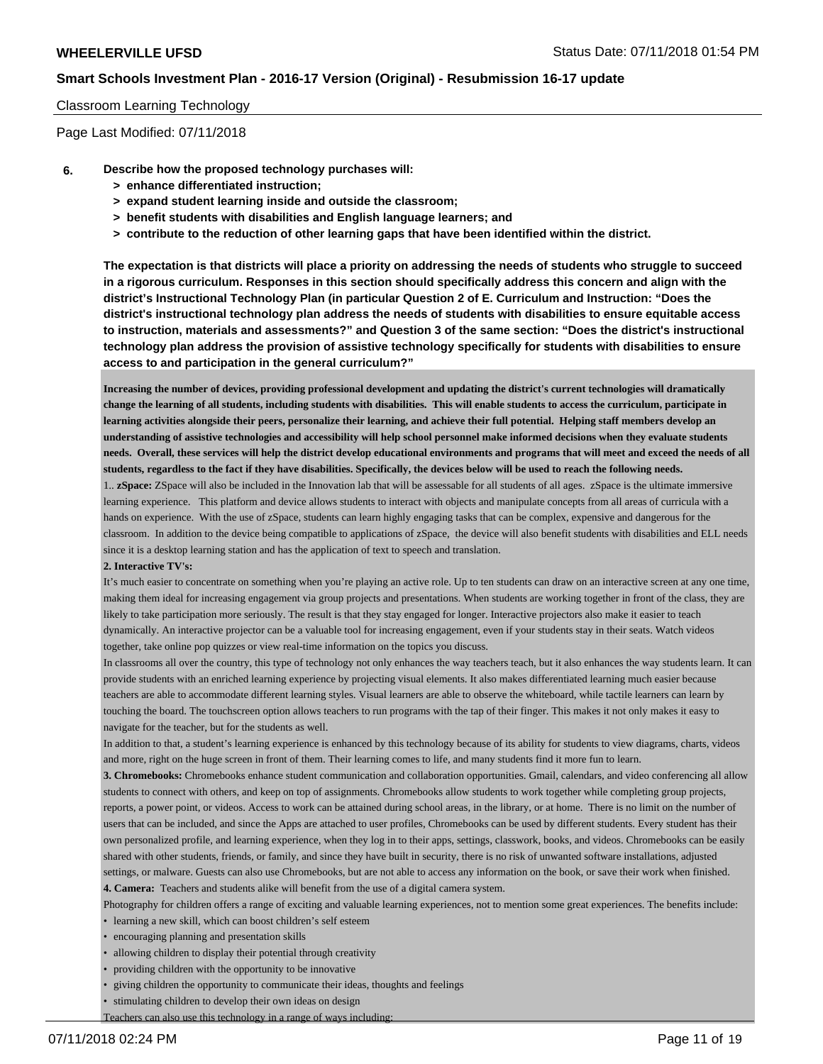#### Classroom Learning Technology

Page Last Modified: 07/11/2018

- **6. Describe how the proposed technology purchases will:**
	- **> enhance differentiated instruction;**
	- **> expand student learning inside and outside the classroom;**
	- **> benefit students with disabilities and English language learners; and**
	- **> contribute to the reduction of other learning gaps that have been identified within the district.**

**The expectation is that districts will place a priority on addressing the needs of students who struggle to succeed in a rigorous curriculum. Responses in this section should specifically address this concern and align with the district's Instructional Technology Plan (in particular Question 2 of E. Curriculum and Instruction: "Does the district's instructional technology plan address the needs of students with disabilities to ensure equitable access to instruction, materials and assessments?" and Question 3 of the same section: "Does the district's instructional technology plan address the provision of assistive technology specifically for students with disabilities to ensure access to and participation in the general curriculum?"**

**Increasing the number of devices, providing professional development and updating the district's current technologies will dramatically change the learning of all students, including students with disabilities. This will enable students to access the curriculum, participate in learning activities alongside their peers, personalize their learning, and achieve their full potential. Helping staff members develop an understanding of assistive technologies and accessibility will help school personnel make informed decisions when they evaluate students needs. Overall, these services will help the district develop educational environments and programs that will meet and exceed the needs of all students, regardless to the fact if they have disabilities. Specifically, the devices below will be used to reach the following needs.** 

1.. **zSpace:** ZSpace will also be included in the Innovation lab that will be assessable for all students of all ages. zSpace is the ultimate immersive learning experience. This platform and device allows students to interact with objects and manipulate concepts from all areas of curricula with a hands on experience. With the use of zSpace, students can learn highly engaging tasks that can be complex, expensive and dangerous for the classroom. In addition to the device being compatible to applications of zSpace, the device will also benefit students with disabilities and ELL needs since it is a desktop learning station and has the application of text to speech and translation.

#### **2. Interactive TV's:**

It's much easier to concentrate on something when you're playing an active role. Up to ten students can draw on an interactive screen at any one time, making them ideal for increasing engagement via group projects and presentations. When students are working together in front of the class, they are likely to take participation more seriously. The result is that they stay engaged for longer. Interactive projectors also make it easier to teach dynamically. An interactive projector can be a valuable tool for increasing engagement, even if your students stay in their seats. Watch videos together, take online pop quizzes or view real-time information on the topics you discuss.

In classrooms all over the country, this type of technology not only enhances the way teachers teach, but it also enhances the way students learn. It can provide students with an enriched learning experience by projecting visual elements. It also makes differentiated learning much easier because teachers are able to accommodate different learning styles. Visual learners are able to observe the whiteboard, while tactile learners can learn by touching the board. The touchscreen option allows teachers to run programs with the tap of their finger. This makes it not only makes it easy to navigate for the teacher, but for the students as well.

In addition to that, a student's learning experience is enhanced by this technology because of its ability for students to view diagrams, charts, videos and more, right on the huge screen in front of them. Their learning comes to life, and many students find it more fun to learn.

**3. Chromebooks:** Chromebooks enhance student communication and collaboration opportunities. Gmail, calendars, and video conferencing all allow students to connect with others, and keep on top of assignments. Chromebooks allow students to work together while completing group projects, reports, a power point, or videos. Access to work can be attained during school areas, in the library, or at home. There is no limit on the number of users that can be included, and since the Apps are attached to user profiles, Chromebooks can be used by different students. Every student has their own personalized profile, and learning experience, when they log in to their apps, settings, classwork, books, and videos. Chromebooks can be easily shared with other students, friends, or family, and since they have built in security, there is no risk of unwanted software installations, adjusted settings, or malware. Guests can also use Chromebooks, but are not able to access any information on the book, or save their work when finished. **4. Camera:** Teachers and students alike will benefit from the use of a digital camera system.

Photography for children offers a range of exciting and valuable learning experiences, not to mention some great experiences. The benefits include:

- learning a new skill, which can boost children's self esteem
- encouraging planning and presentation skills
- allowing children to display their potential through creativity
- providing children with the opportunity to be innovative
- giving children the opportunity to communicate their ideas, thoughts and feelings
- stimulating children to develop their own ideas on design
- Teachers can also use this technology in a range of ways including: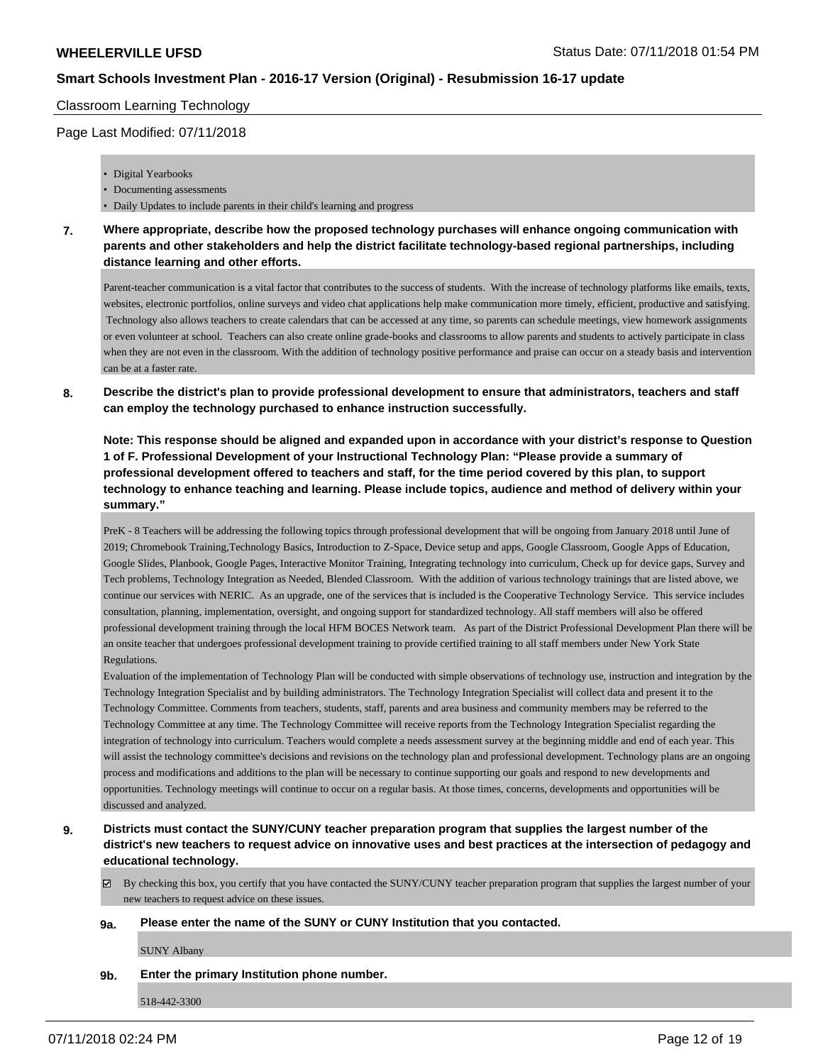#### Classroom Learning Technology

#### Page Last Modified: 07/11/2018

- Digital Yearbooks
- Documenting assessments
- Daily Updates to include parents in their child's learning and progress
- **7. Where appropriate, describe how the proposed technology purchases will enhance ongoing communication with parents and other stakeholders and help the district facilitate technology-based regional partnerships, including distance learning and other efforts.**

Parent-teacher communication is a vital factor that contributes to the success of students. With the increase of technology platforms like emails, texts, websites, electronic portfolios, online surveys and video chat applications help make communication more timely, efficient, productive and satisfying. Technology also allows teachers to create calendars that can be accessed at any time, so parents can schedule meetings, view homework assignments or even volunteer at school. Teachers can also create online grade-books and classrooms to allow parents and students to actively participate in class when they are not even in the classroom. With the addition of technology positive performance and praise can occur on a steady basis and intervention can be at a faster rate.

**8. Describe the district's plan to provide professional development to ensure that administrators, teachers and staff can employ the technology purchased to enhance instruction successfully.**

**Note: This response should be aligned and expanded upon in accordance with your district's response to Question 1 of F. Professional Development of your Instructional Technology Plan: "Please provide a summary of professional development offered to teachers and staff, for the time period covered by this plan, to support technology to enhance teaching and learning. Please include topics, audience and method of delivery within your summary."**

PreK - 8 Teachers will be addressing the following topics through professional development that will be ongoing from January 2018 until June of 2019; Chromebook Training,Technology Basics, Introduction to Z-Space, Device setup and apps, Google Classroom, Google Apps of Education, Google Slides, Planbook, Google Pages, Interactive Monitor Training, Integrating technology into curriculum, Check up for device gaps, Survey and Tech problems, Technology Integration as Needed, Blended Classroom. With the addition of various technology trainings that are listed above, we continue our services with NERIC. As an upgrade, one of the services that is included is the Cooperative Technology Service. This service includes consultation, planning, implementation, oversight, and ongoing support for standardized technology. All staff members will also be offered professional development training through the local HFM BOCES Network team. As part of the District Professional Development Plan there will be an onsite teacher that undergoes professional development training to provide certified training to all staff members under New York State Regulations.

Evaluation of the implementation of Technology Plan will be conducted with simple observations of technology use, instruction and integration by the Technology Integration Specialist and by building administrators. The Technology Integration Specialist will collect data and present it to the Technology Committee. Comments from teachers, students, staff, parents and area business and community members may be referred to the Technology Committee at any time. The Technology Committee will receive reports from the Technology Integration Specialist regarding the integration of technology into curriculum. Teachers would complete a needs assessment survey at the beginning middle and end of each year. This will assist the technology committee's decisions and revisions on the technology plan and professional development. Technology plans are an ongoing process and modifications and additions to the plan will be necessary to continue supporting our goals and respond to new developments and opportunities. Technology meetings will continue to occur on a regular basis. At those times, concerns, developments and opportunities will be discussed and analyzed.

- **9. Districts must contact the SUNY/CUNY teacher preparation program that supplies the largest number of the district's new teachers to request advice on innovative uses and best practices at the intersection of pedagogy and educational technology.**
	- $\boxtimes$  By checking this box, you certify that you have contacted the SUNY/CUNY teacher preparation program that supplies the largest number of your new teachers to request advice on these issues.

#### **9a. Please enter the name of the SUNY or CUNY Institution that you contacted.**

SUNY Albany

**9b. Enter the primary Institution phone number.**

518-442-3300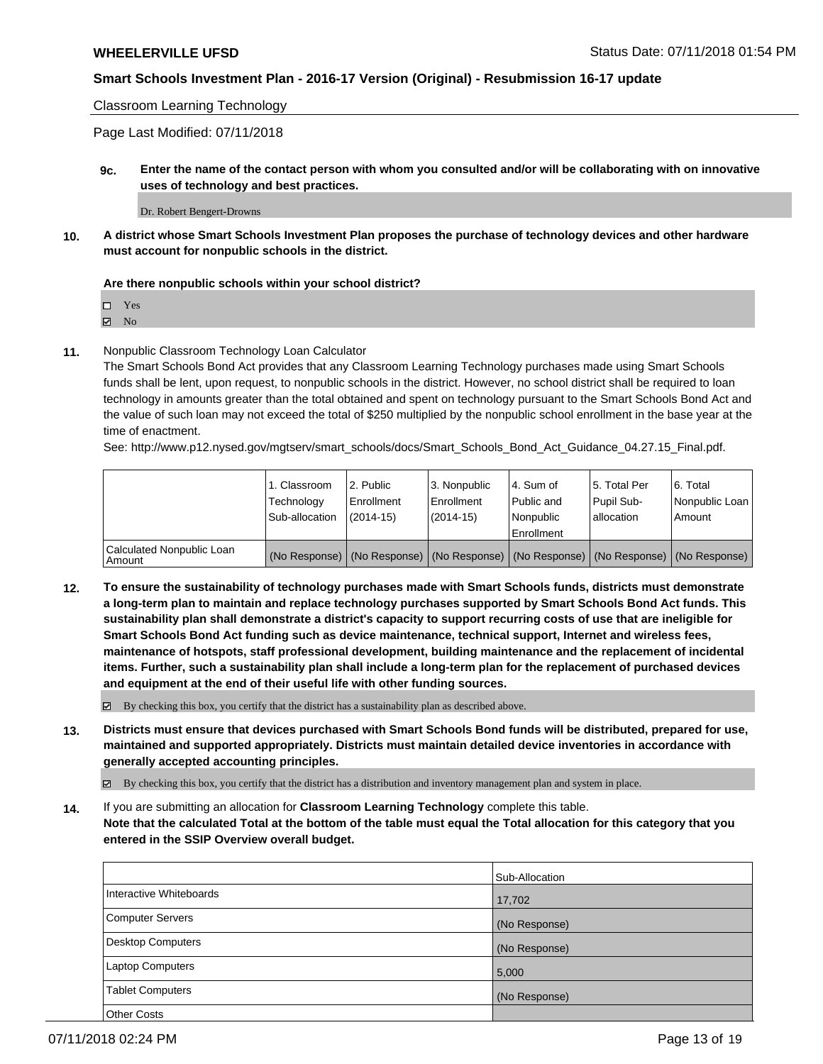Classroom Learning Technology

Page Last Modified: 07/11/2018

**9c. Enter the name of the contact person with whom you consulted and/or will be collaborating with on innovative uses of technology and best practices.**

Dr. Robert Bengert-Drowns

**10. A district whose Smart Schools Investment Plan proposes the purchase of technology devices and other hardware must account for nonpublic schools in the district.**

#### **Are there nonpublic schools within your school district?**

Yes

**Z** No

**11.** Nonpublic Classroom Technology Loan Calculator

The Smart Schools Bond Act provides that any Classroom Learning Technology purchases made using Smart Schools funds shall be lent, upon request, to nonpublic schools in the district. However, no school district shall be required to loan technology in amounts greater than the total obtained and spent on technology pursuant to the Smart Schools Bond Act and the value of such loan may not exceed the total of \$250 multiplied by the nonpublic school enrollment in the base year at the time of enactment.

See: http://www.p12.nysed.gov/mgtserv/smart\_schools/docs/Smart\_Schools\_Bond\_Act\_Guidance\_04.27.15\_Final.pdf.

|                                     | 1. Classroom<br>Technology<br>Sub-allocation | 2. Public<br>Enrollment<br>(2014-15) | 3. Nonpublic<br>Enrollment<br>(2014-15) | 14. Sum of<br>Public and<br>l Nonpublic<br>Enrollment | 15. Total Per<br>Pupil Sub-<br>allocation | 6. Total<br>Nonpublic Loan<br>Amount                                                          |
|-------------------------------------|----------------------------------------------|--------------------------------------|-----------------------------------------|-------------------------------------------------------|-------------------------------------------|-----------------------------------------------------------------------------------------------|
| Calculated Nonpublic Loan<br>Amount |                                              |                                      |                                         |                                                       |                                           | (No Response)   (No Response)   (No Response)   (No Response)   (No Response)   (No Response) |

**12. To ensure the sustainability of technology purchases made with Smart Schools funds, districts must demonstrate a long-term plan to maintain and replace technology purchases supported by Smart Schools Bond Act funds. This sustainability plan shall demonstrate a district's capacity to support recurring costs of use that are ineligible for Smart Schools Bond Act funding such as device maintenance, technical support, Internet and wireless fees, maintenance of hotspots, staff professional development, building maintenance and the replacement of incidental items. Further, such a sustainability plan shall include a long-term plan for the replacement of purchased devices and equipment at the end of their useful life with other funding sources.**

 $\boxtimes$  By checking this box, you certify that the district has a sustainability plan as described above.

**13. Districts must ensure that devices purchased with Smart Schools Bond funds will be distributed, prepared for use, maintained and supported appropriately. Districts must maintain detailed device inventories in accordance with generally accepted accounting principles.**

By checking this box, you certify that the district has a distribution and inventory management plan and system in place.

**14.** If you are submitting an allocation for **Classroom Learning Technology** complete this table. **Note that the calculated Total at the bottom of the table must equal the Total allocation for this category that you entered in the SSIP Overview overall budget.**

|                         | Sub-Allocation |
|-------------------------|----------------|
| Interactive Whiteboards | 17,702         |
| Computer Servers        | (No Response)  |
| Desktop Computers       | (No Response)  |
| <b>Laptop Computers</b> | 5,000          |
| Tablet Computers        | (No Response)  |
| <b>Other Costs</b>      |                |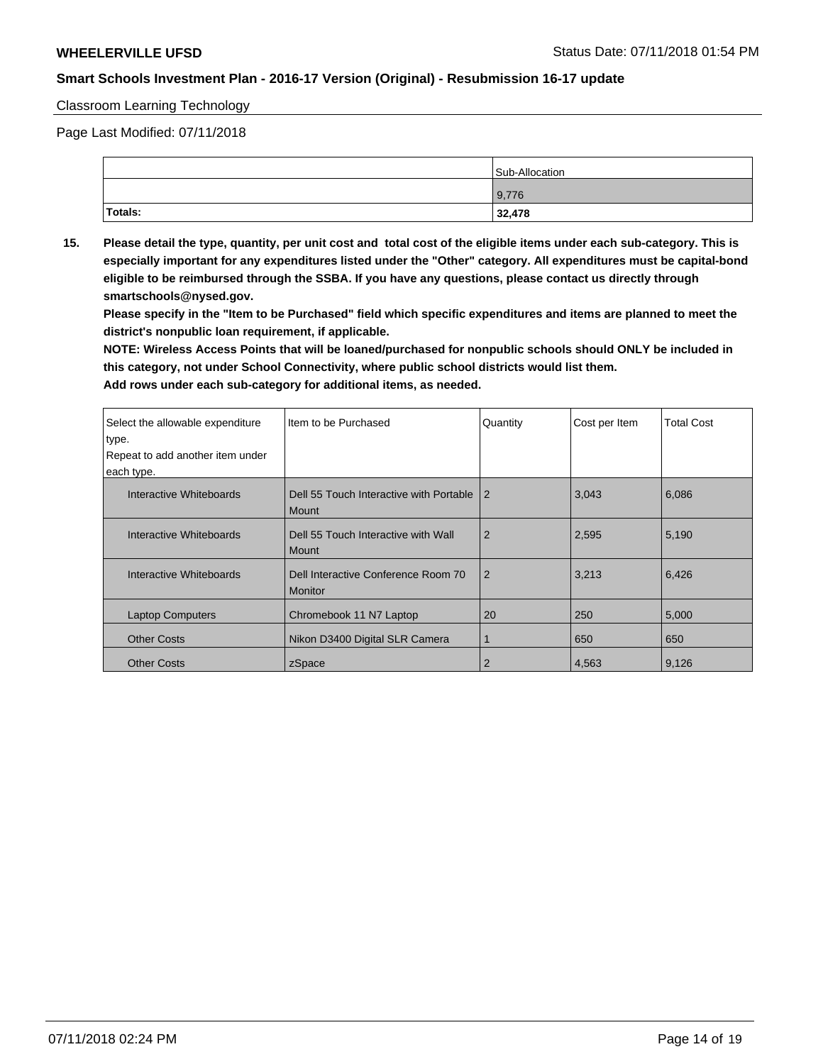#### Classroom Learning Technology

Page Last Modified: 07/11/2018

|         | Sub-Allocation |
|---------|----------------|
|         | 9,776          |
| Totals: | 32,478         |

**15. Please detail the type, quantity, per unit cost and total cost of the eligible items under each sub-category. This is especially important for any expenditures listed under the "Other" category. All expenditures must be capital-bond eligible to be reimbursed through the SSBA. If you have any questions, please contact us directly through smartschools@nysed.gov.**

**Please specify in the "Item to be Purchased" field which specific expenditures and items are planned to meet the district's nonpublic loan requirement, if applicable.**

**NOTE: Wireless Access Points that will be loaned/purchased for nonpublic schools should ONLY be included in this category, not under School Connectivity, where public school districts would list them.**

| Select the allowable expenditure<br>type.<br>Repeat to add another item under | Item to be Purchased                                    | Quantity       | Cost per Item | <b>Total Cost</b> |
|-------------------------------------------------------------------------------|---------------------------------------------------------|----------------|---------------|-------------------|
| each type.                                                                    |                                                         |                |               |                   |
| Interactive Whiteboards                                                       | Dell 55 Touch Interactive with Portable<br><b>Mount</b> | $\overline{2}$ | 3,043         | 6,086             |
| Interactive Whiteboards                                                       | Dell 55 Touch Interactive with Wall<br><b>Mount</b>     | $\overline{2}$ | 2,595         | 5,190             |
| Interactive Whiteboards                                                       | Dell Interactive Conference Room 70<br><b>Monitor</b>   | $\overline{2}$ | 3,213         | 6,426             |
| <b>Laptop Computers</b>                                                       | Chromebook 11 N7 Laptop                                 | 20             | 250           | 5,000             |
| <b>Other Costs</b>                                                            | Nikon D3400 Digital SLR Camera                          | 1              | 650           | 650               |
| <b>Other Costs</b>                                                            | zSpace                                                  | 2              | 4,563         | 9,126             |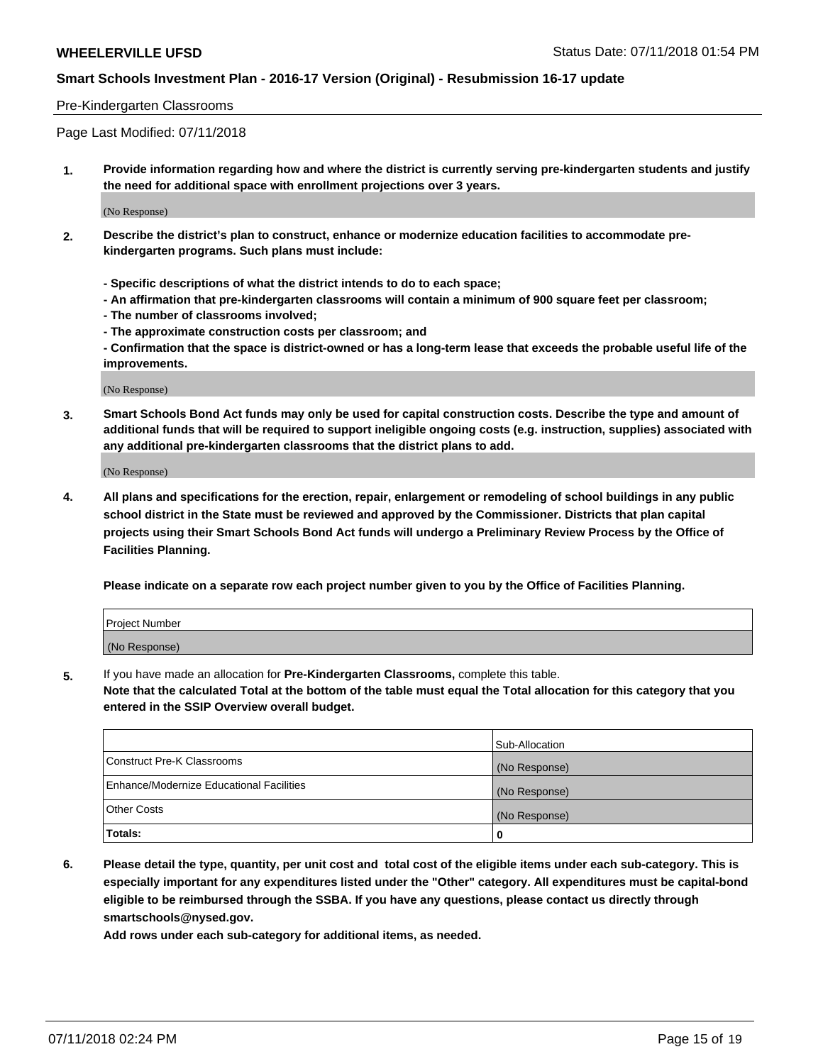#### Pre-Kindergarten Classrooms

Page Last Modified: 07/11/2018

**1. Provide information regarding how and where the district is currently serving pre-kindergarten students and justify the need for additional space with enrollment projections over 3 years.**

(No Response)

- **2. Describe the district's plan to construct, enhance or modernize education facilities to accommodate prekindergarten programs. Such plans must include:**
	- **Specific descriptions of what the district intends to do to each space;**
	- **An affirmation that pre-kindergarten classrooms will contain a minimum of 900 square feet per classroom;**
	- **The number of classrooms involved;**
	- **The approximate construction costs per classroom; and**
	- **Confirmation that the space is district-owned or has a long-term lease that exceeds the probable useful life of the improvements.**

(No Response)

**3. Smart Schools Bond Act funds may only be used for capital construction costs. Describe the type and amount of additional funds that will be required to support ineligible ongoing costs (e.g. instruction, supplies) associated with any additional pre-kindergarten classrooms that the district plans to add.**

(No Response)

**4. All plans and specifications for the erection, repair, enlargement or remodeling of school buildings in any public school district in the State must be reviewed and approved by the Commissioner. Districts that plan capital projects using their Smart Schools Bond Act funds will undergo a Preliminary Review Process by the Office of Facilities Planning.**

**Please indicate on a separate row each project number given to you by the Office of Facilities Planning.**

| Project Number |  |
|----------------|--|
| (No Response)  |  |

**5.** If you have made an allocation for **Pre-Kindergarten Classrooms,** complete this table.

**Note that the calculated Total at the bottom of the table must equal the Total allocation for this category that you entered in the SSIP Overview overall budget.**

|                                          | Sub-Allocation |
|------------------------------------------|----------------|
| Construct Pre-K Classrooms               | (No Response)  |
| Enhance/Modernize Educational Facilities | (No Response)  |
| Other Costs                              | (No Response)  |
| Totals:                                  | 0              |

**6. Please detail the type, quantity, per unit cost and total cost of the eligible items under each sub-category. This is especially important for any expenditures listed under the "Other" category. All expenditures must be capital-bond eligible to be reimbursed through the SSBA. If you have any questions, please contact us directly through smartschools@nysed.gov.**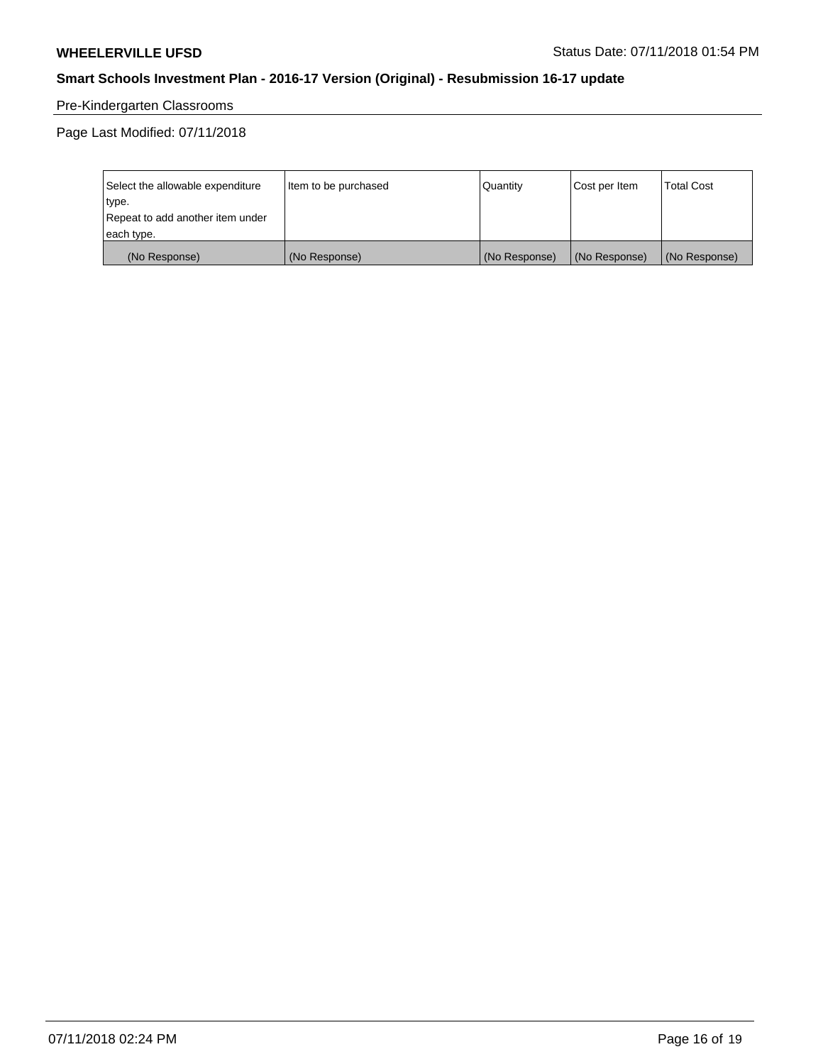# Pre-Kindergarten Classrooms

Page Last Modified: 07/11/2018

| Select the allowable expenditure | Item to be purchased | Quantity      | Cost per Item | <b>Total Cost</b> |
|----------------------------------|----------------------|---------------|---------------|-------------------|
| type.                            |                      |               |               |                   |
| Repeat to add another item under |                      |               |               |                   |
| each type.                       |                      |               |               |                   |
| (No Response)                    | (No Response)        | (No Response) | (No Response) | (No Response)     |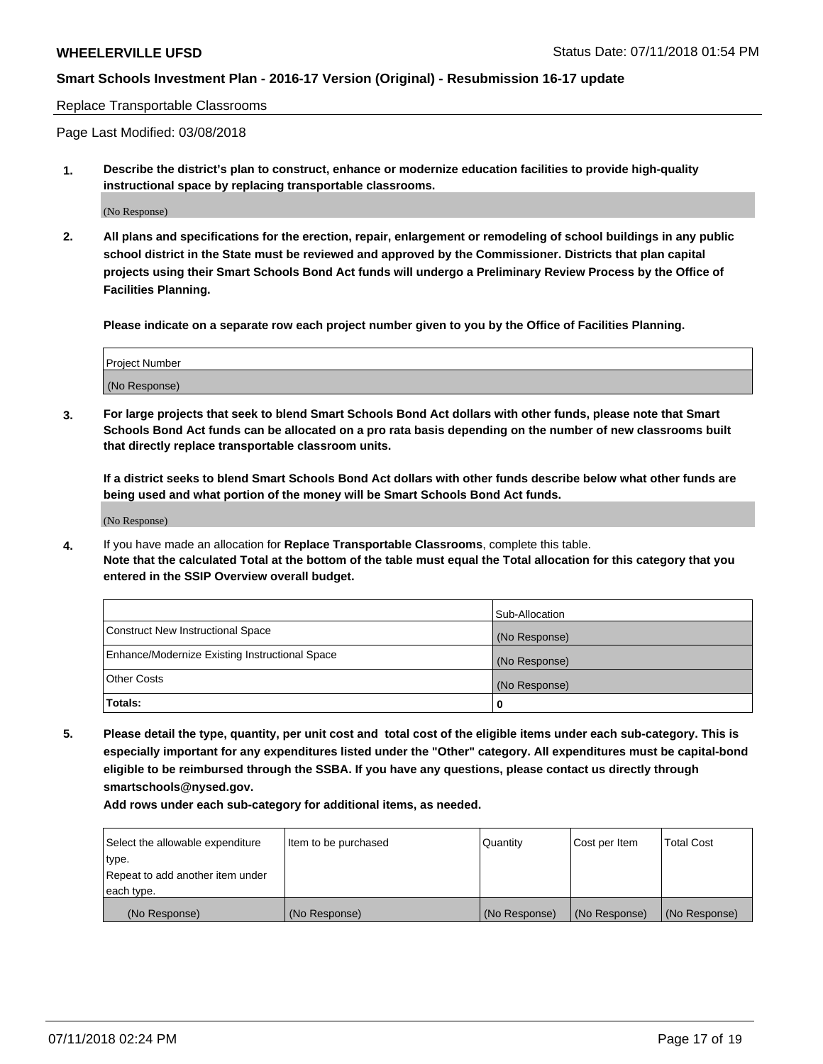#### Replace Transportable Classrooms

Page Last Modified: 03/08/2018

**1. Describe the district's plan to construct, enhance or modernize education facilities to provide high-quality instructional space by replacing transportable classrooms.**

(No Response)

**2. All plans and specifications for the erection, repair, enlargement or remodeling of school buildings in any public school district in the State must be reviewed and approved by the Commissioner. Districts that plan capital projects using their Smart Schools Bond Act funds will undergo a Preliminary Review Process by the Office of Facilities Planning.**

**Please indicate on a separate row each project number given to you by the Office of Facilities Planning.**

| <b>Project Number</b> |  |
|-----------------------|--|
| (No Response)         |  |
|                       |  |

**3. For large projects that seek to blend Smart Schools Bond Act dollars with other funds, please note that Smart Schools Bond Act funds can be allocated on a pro rata basis depending on the number of new classrooms built that directly replace transportable classroom units.**

**If a district seeks to blend Smart Schools Bond Act dollars with other funds describe below what other funds are being used and what portion of the money will be Smart Schools Bond Act funds.**

(No Response)

**4.** If you have made an allocation for **Replace Transportable Classrooms**, complete this table. **Note that the calculated Total at the bottom of the table must equal the Total allocation for this category that you entered in the SSIP Overview overall budget.**

|                                                | Sub-Allocation |
|------------------------------------------------|----------------|
| Construct New Instructional Space              | (No Response)  |
| Enhance/Modernize Existing Instructional Space | (No Response)  |
| Other Costs                                    | (No Response)  |
| Totals:                                        | 0              |

**5. Please detail the type, quantity, per unit cost and total cost of the eligible items under each sub-category. This is especially important for any expenditures listed under the "Other" category. All expenditures must be capital-bond eligible to be reimbursed through the SSBA. If you have any questions, please contact us directly through smartschools@nysed.gov.**

| Select the allowable expenditure | Item to be purchased | Quantity      | Cost per Item | <b>Total Cost</b> |
|----------------------------------|----------------------|---------------|---------------|-------------------|
| type.                            |                      |               |               |                   |
| Repeat to add another item under |                      |               |               |                   |
| each type.                       |                      |               |               |                   |
| (No Response)                    | (No Response)        | (No Response) | (No Response) | (No Response)     |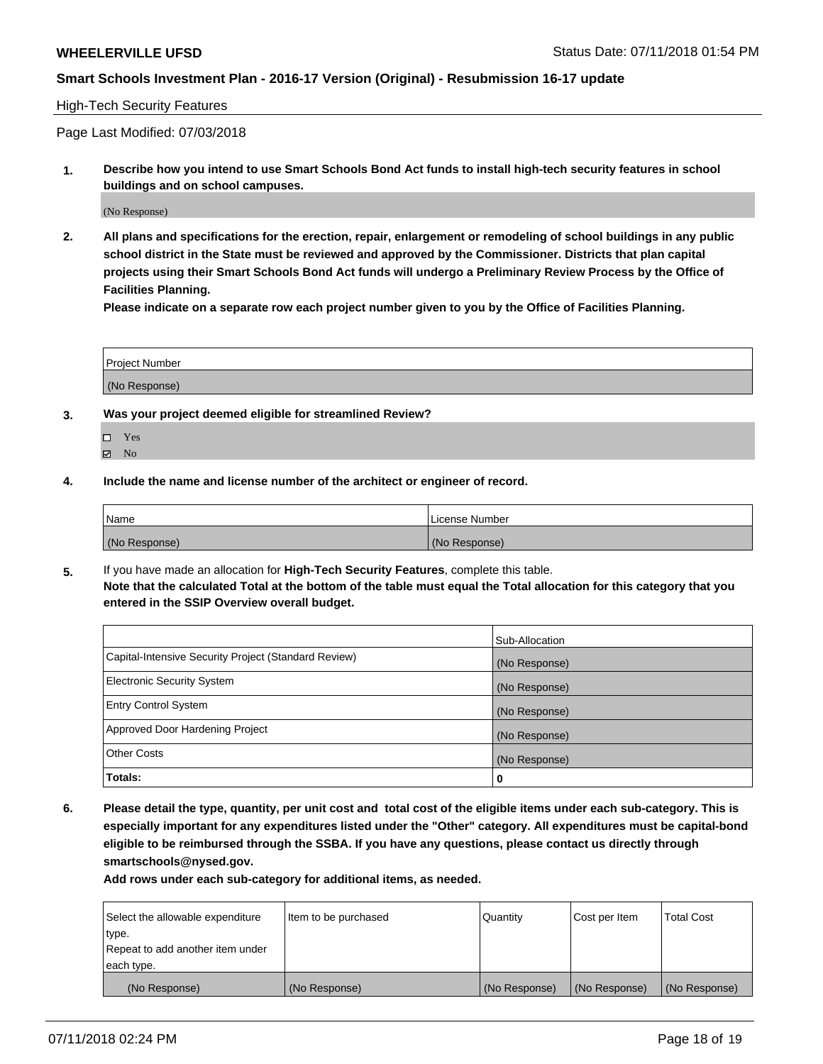#### High-Tech Security Features

Page Last Modified: 07/03/2018

**1. Describe how you intend to use Smart Schools Bond Act funds to install high-tech security features in school buildings and on school campuses.**

(No Response)

**2. All plans and specifications for the erection, repair, enlargement or remodeling of school buildings in any public school district in the State must be reviewed and approved by the Commissioner. Districts that plan capital projects using their Smart Schools Bond Act funds will undergo a Preliminary Review Process by the Office of Facilities Planning.** 

**Please indicate on a separate row each project number given to you by the Office of Facilities Planning.**

| <b>Project Number</b> |  |
|-----------------------|--|
| (No Response)         |  |

- **3. Was your project deemed eligible for streamlined Review?**
	- Yes **Z** No
- **4. Include the name and license number of the architect or engineer of record.**

| Name          | License Number |
|---------------|----------------|
| (No Response) | (No Response)  |

**5.** If you have made an allocation for **High-Tech Security Features**, complete this table. **Note that the calculated Total at the bottom of the table must equal the Total allocation for this category that you entered in the SSIP Overview overall budget.**

|                                                      | Sub-Allocation |
|------------------------------------------------------|----------------|
| Capital-Intensive Security Project (Standard Review) | (No Response)  |
| <b>Electronic Security System</b>                    | (No Response)  |
| <b>Entry Control System</b>                          | (No Response)  |
| Approved Door Hardening Project                      | (No Response)  |
| <b>Other Costs</b>                                   | (No Response)  |
| Totals:                                              | 0              |

**6. Please detail the type, quantity, per unit cost and total cost of the eligible items under each sub-category. This is especially important for any expenditures listed under the "Other" category. All expenditures must be capital-bond eligible to be reimbursed through the SSBA. If you have any questions, please contact us directly through smartschools@nysed.gov.**

| Select the allowable expenditure | Item to be purchased | Quantity      | Cost per Item | <b>Total Cost</b> |
|----------------------------------|----------------------|---------------|---------------|-------------------|
| type.                            |                      |               |               |                   |
| Repeat to add another item under |                      |               |               |                   |
| each type.                       |                      |               |               |                   |
| (No Response)                    | (No Response)        | (No Response) | (No Response) | (No Response)     |